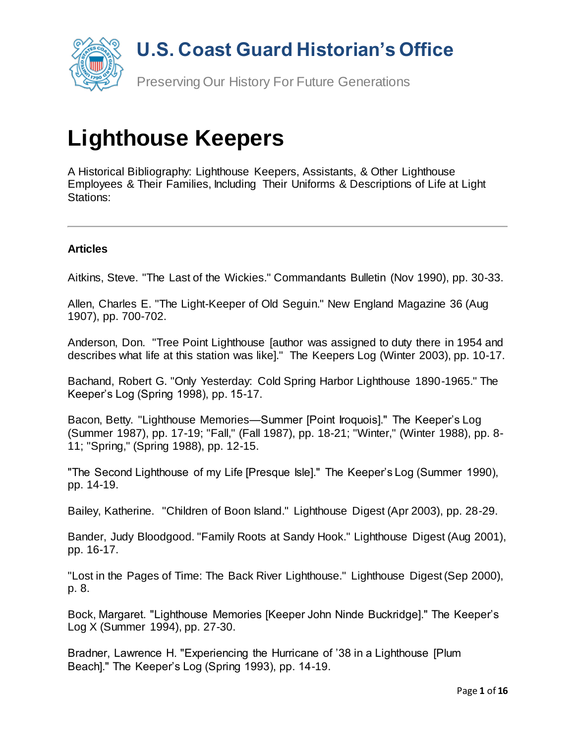

# **Lighthouse Keepers**

A Historical Bibliography: Lighthouse Keepers, Assistants, & Other Lighthouse Employees & Their Families, Including Their Uniforms & Descriptions of Life at Light Stations:

#### **Articles**

Aitkins, Steve. "The Last of the Wickies." Commandants Bulletin (Nov 1990), pp. 30-33.

Allen, Charles E. "The Light-Keeper of Old Seguin." New England Magazine 36 (Aug 1907), pp. 700-702.

Anderson, Don. "Tree Point Lighthouse [author was assigned to duty there in 1954 and describes what life at this station was like]." The Keepers Log (Winter 2003), pp. 10-17.

Bachand, Robert G. "Only Yesterday: Cold Spring Harbor Lighthouse 1890-1965." The Keeper's Log (Spring 1998), pp. 15-17.

Bacon, Betty. "Lighthouse Memories—Summer [Point Iroquois]." The Keeper's Log (Summer 1987), pp. 17-19; "Fall," (Fall 1987), pp. 18-21; "Winter," (Winter 1988), pp. 8- 11; "Spring," (Spring 1988), pp. 12-15.

"The Second Lighthouse of my Life [Presque Isle]." The Keeper's Log (Summer 1990), pp. 14-19.

Bailey, Katherine. "Children of Boon Island." Lighthouse Digest (Apr 2003), pp. 28-29.

Bander, Judy Bloodgood. "Family Roots at Sandy Hook." Lighthouse Digest (Aug 2001), pp. 16-17.

"Lost in the Pages of Time: The Back River Lighthouse." Lighthouse Digest (Sep 2000), p. 8.

Bock, Margaret. "Lighthouse Memories [Keeper John Ninde Buckridge]." The Keeper's Log X (Summer 1994), pp. 27-30.

Bradner, Lawrence H. "Experiencing the Hurricane of '38 in a Lighthouse [Plum Beach]." The Keeper's Log (Spring 1993), pp. 14-19.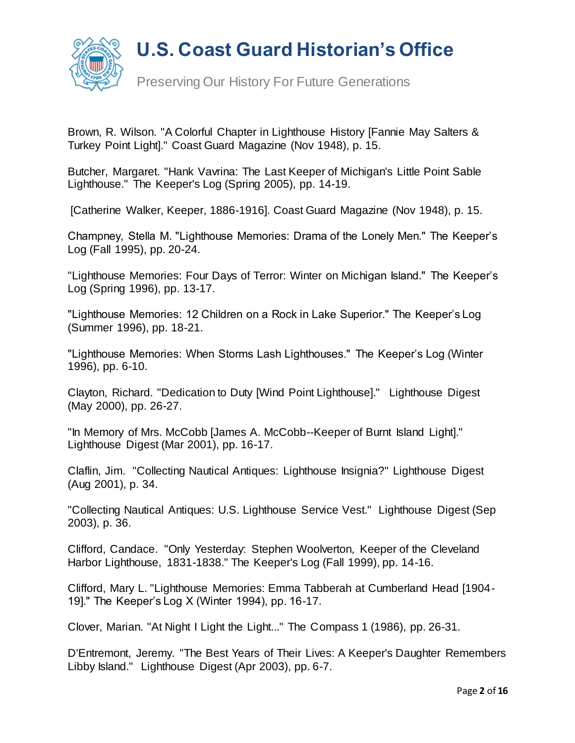

Brown, R. Wilson. "A Colorful Chapter in Lighthouse History [Fannie May Salters & Turkey Point Light]." Coast Guard Magazine (Nov 1948), p. 15.

Butcher, Margaret. "Hank Vavrina: The Last Keeper of Michigan's Little Point Sable Lighthouse." The Keeper's Log (Spring 2005), pp. 14-19.

[Catherine Walker, Keeper, 1886-1916]. Coast Guard Magazine (Nov 1948), p. 15.

Champney, Stella M. "Lighthouse Memories: Drama of the Lonely Men." The Keeper's Log (Fall 1995), pp. 20-24.

"Lighthouse Memories: Four Days of Terror: Winter on Michigan Island." The Keeper's Log (Spring 1996), pp. 13-17.

"Lighthouse Memories: 12 Children on a Rock in Lake Superior." The Keeper's Log (Summer 1996), pp. 18-21.

"Lighthouse Memories: When Storms Lash Lighthouses." The Keeper's Log (Winter 1996), pp. 6-10.

Clayton, Richard. "Dedication to Duty [Wind Point Lighthouse]." Lighthouse Digest (May 2000), pp. 26-27.

"In Memory of Mrs. McCobb [James A. McCobb--Keeper of Burnt Island Light]." Lighthouse Digest (Mar 2001), pp. 16-17.

Claflin, Jim. "Collecting Nautical Antiques: Lighthouse Insignia?" Lighthouse Digest (Aug 2001), p. 34.

"Collecting Nautical Antiques: U.S. Lighthouse Service Vest." Lighthouse Digest (Sep 2003), p. 36.

Clifford, Candace. "Only Yesterday: Stephen Woolverton, Keeper of the Cleveland Harbor Lighthouse, 1831-1838." The Keeper's Log (Fall 1999), pp. 14-16.

Clifford, Mary L. "Lighthouse Memories: Emma Tabberah at Cumberland Head [1904- 19]." The Keeper's Log X (Winter 1994), pp. 16-17.

Clover, Marian. "At Night I Light the Light..." The Compass 1 (1986), pp. 26-31.

D'Entremont, Jeremy. "The Best Years of Their Lives: A Keeper's Daughter Remembers Libby Island." Lighthouse Digest (Apr 2003), pp. 6-7.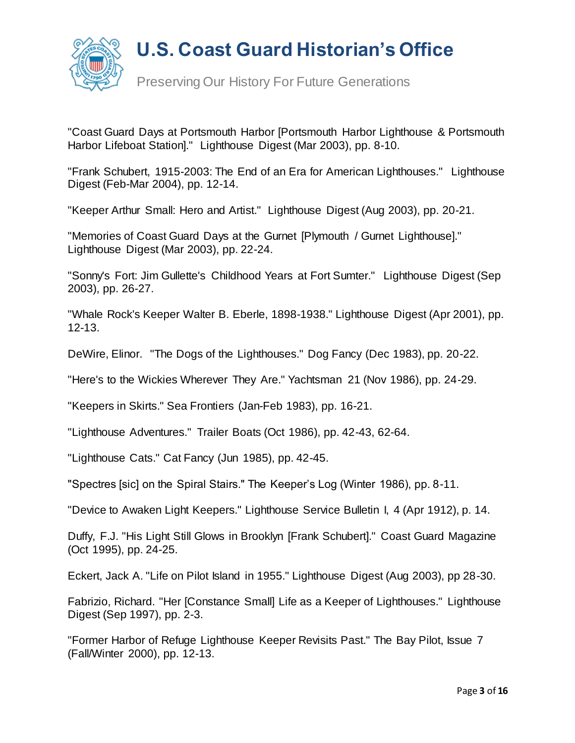

Preserving Our History For Future Generations

"Coast Guard Days at Portsmouth Harbor [Portsmouth Harbor Lighthouse & Portsmouth Harbor Lifeboat Station]." Lighthouse Digest (Mar 2003), pp. 8-10.

"Frank Schubert, 1915-2003: The End of an Era for American Lighthouses." Lighthouse Digest (Feb-Mar 2004), pp. 12-14.

"Keeper Arthur Small: Hero and Artist." Lighthouse Digest (Aug 2003), pp. 20-21.

"Memories of Coast Guard Days at the Gurnet [Plymouth / Gurnet Lighthouse]." Lighthouse Digest (Mar 2003), pp. 22-24.

"Sonny's Fort: Jim Gullette's Childhood Years at Fort Sumter." Lighthouse Digest (Sep 2003), pp. 26-27.

"Whale Rock's Keeper Walter B. Eberle, 1898-1938." Lighthouse Digest (Apr 2001), pp. 12-13.

DeWire, Elinor. "The Dogs of the Lighthouses." Dog Fancy (Dec 1983), pp. 20-22.

"Here's to the Wickies Wherever They Are." Yachtsman 21 (Nov 1986), pp. 24-29.

"Keepers in Skirts." Sea Frontiers (Jan-Feb 1983), pp. 16-21.

"Lighthouse Adventures." Trailer Boats (Oct 1986), pp. 42-43, 62-64.

"Lighthouse Cats." Cat Fancy (Jun 1985), pp. 42-45.

"Spectres [sic] on the Spiral Stairs." The Keeper's Log (Winter 1986), pp. 8-11.

"Device to Awaken Light Keepers." Lighthouse Service Bulletin I, 4 (Apr 1912), p. 14.

Duffy, F.J. "His Light Still Glows in Brooklyn [Frank Schubert]." Coast Guard Magazine (Oct 1995), pp. 24-25.

Eckert, Jack A. "Life on Pilot Island in 1955." Lighthouse Digest (Aug 2003), pp 28-30.

Fabrizio, Richard. "Her [Constance Small] Life as a Keeper of Lighthouses." Lighthouse Digest (Sep 1997), pp. 2-3.

"Former Harbor of Refuge Lighthouse Keeper Revisits Past." The Bay Pilot, Issue 7 (Fall/Winter 2000), pp. 12-13.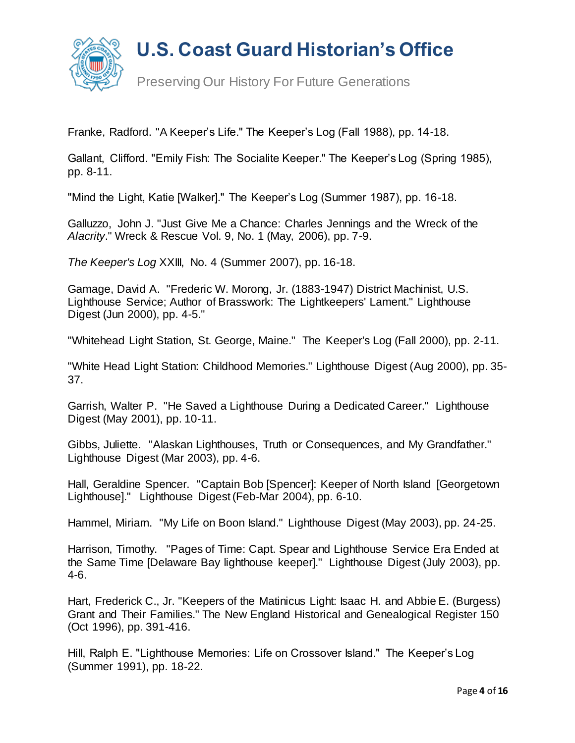

Franke, Radford. "A Keeper's Life." The Keeper's Log (Fall 1988), pp. 14-18.

Gallant, Clifford. "Emily Fish: The Socialite Keeper." The Keeper's Log (Spring 1985), pp. 8-11.

"Mind the Light, Katie [Walker]." The Keeper's Log (Summer 1987), pp. 16-18.

Galluzzo, John J. "Just Give Me a Chance: Charles Jennings and the Wreck of the *Alacrity*." Wreck & Rescue Vol. 9, No. 1 (May, 2006), pp. 7-9.

*The Keeper's Log* XXIII, No. 4 (Summer 2007), pp. 16-18.

Gamage, David A. "Frederic W. Morong, Jr. (1883-1947) District Machinist, U.S. Lighthouse Service; Author of Brasswork: The Lightkeepers' Lament." Lighthouse Digest (Jun 2000), pp. 4-5."

"Whitehead Light Station, St. George, Maine." The Keeper's Log (Fall 2000), pp. 2-11.

"White Head Light Station: Childhood Memories." Lighthouse Digest (Aug 2000), pp. 35- 37.

Garrish, Walter P. "He Saved a Lighthouse During a Dedicated Career." Lighthouse Digest (May 2001), pp. 10-11.

Gibbs, Juliette. "Alaskan Lighthouses, Truth or Consequences, and My Grandfather." Lighthouse Digest (Mar 2003), pp. 4-6.

Hall, Geraldine Spencer. "Captain Bob [Spencer]: Keeper of North Island [Georgetown Lighthouse]." Lighthouse Digest (Feb-Mar 2004), pp. 6-10.

Hammel, Miriam. "My Life on Boon Island." Lighthouse Digest (May 2003), pp. 24-25.

Harrison, Timothy. "Pages of Time: Capt. Spear and Lighthouse Service Era Ended at the Same Time [Delaware Bay lighthouse keeper]." Lighthouse Digest (July 2003), pp. 4-6.

Hart, Frederick C., Jr. "Keepers of the Matinicus Light: Isaac H. and Abbie E. (Burgess) Grant and Their Families." The New England Historical and Genealogical Register 150 (Oct 1996), pp. 391-416.

Hill, Ralph E. "Lighthouse Memories: Life on Crossover Island." The Keeper's Log (Summer 1991), pp. 18-22.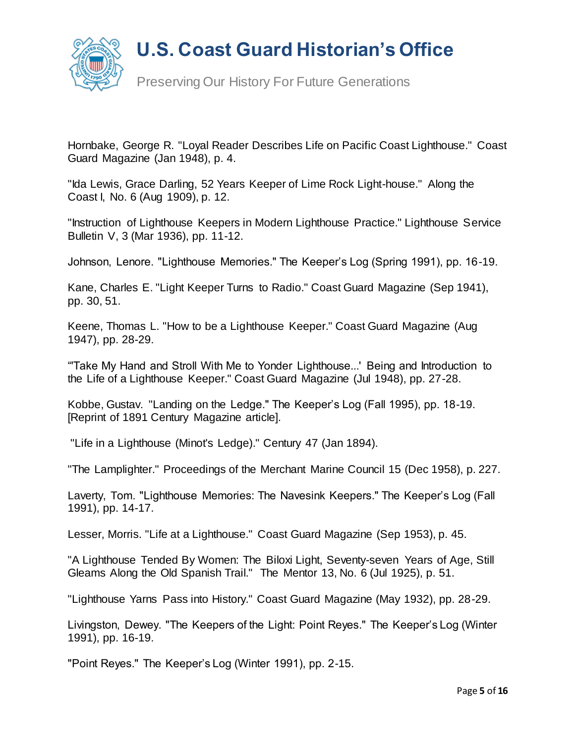



Preserving Our History For Future Generations

Hornbake, George R. "Loyal Reader Describes Life on Pacific Coast Lighthouse." Coast Guard Magazine (Jan 1948), p. 4.

"Ida Lewis, Grace Darling, 52 Years Keeper of Lime Rock Light-house." Along the Coast I, No. 6 (Aug 1909), p. 12.

"Instruction of Lighthouse Keepers in Modern Lighthouse Practice." Lighthouse Service Bulletin V, 3 (Mar 1936), pp. 11-12.

Johnson, Lenore. "Lighthouse Memories." The Keeper's Log (Spring 1991), pp. 16-19.

Kane, Charles E. "Light Keeper Turns to Radio." Coast Guard Magazine (Sep 1941), pp. 30, 51.

Keene, Thomas L. "How to be a Lighthouse Keeper." Coast Guard Magazine (Aug 1947), pp. 28-29.

"'Take My Hand and Stroll With Me to Yonder Lighthouse...' Being and Introduction to the Life of a Lighthouse Keeper." Coast Guard Magazine (Jul 1948), pp. 27-28.

Kobbe, Gustav. "Landing on the Ledge." The Keeper's Log (Fall 1995), pp. 18-19. [Reprint of 1891 Century Magazine article].

"Life in a Lighthouse (Minot's Ledge)." Century 47 (Jan 1894).

"The Lamplighter." Proceedings of the Merchant Marine Council 15 (Dec 1958), p. 227.

Laverty, Tom. "Lighthouse Memories: The Navesink Keepers." The Keeper's Log (Fall 1991), pp. 14-17.

Lesser, Morris. "Life at a Lighthouse." Coast Guard Magazine (Sep 1953), p. 45.

"A Lighthouse Tended By Women: The Biloxi Light, Seventy-seven Years of Age, Still Gleams Along the Old Spanish Trail." The Mentor 13, No. 6 (Jul 1925), p. 51.

"Lighthouse Yarns Pass into History." Coast Guard Magazine (May 1932), pp. 28-29.

Livingston, Dewey. "The Keepers of the Light: Point Reyes." The Keeper's Log (Winter 1991), pp. 16-19.

"Point Reyes." The Keeper's Log (Winter 1991), pp. 2-15.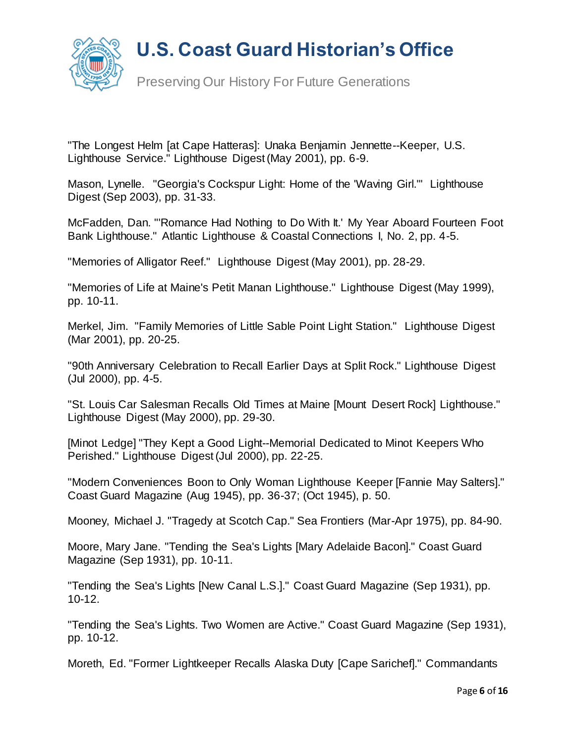

"The Longest Helm [at Cape Hatteras]: Unaka Benjamin Jennette--Keeper, U.S. Lighthouse Service." Lighthouse Digest (May 2001), pp. 6-9.

Mason, Lynelle. "Georgia's Cockspur Light: Home of the 'Waving Girl.'" Lighthouse Digest (Sep 2003), pp. 31-33.

McFadden, Dan. "'Romance Had Nothing to Do With It.' My Year Aboard Fourteen Foot Bank Lighthouse." Atlantic Lighthouse & Coastal Connections I, No. 2, pp. 4-5.

"Memories of Alligator Reef." Lighthouse Digest (May 2001), pp. 28-29.

"Memories of Life at Maine's Petit Manan Lighthouse." Lighthouse Digest (May 1999), pp. 10-11.

Merkel, Jim. "Family Memories of Little Sable Point Light Station." Lighthouse Digest (Mar 2001), pp. 20-25.

"90th Anniversary Celebration to Recall Earlier Days at Split Rock." Lighthouse Digest (Jul 2000), pp. 4-5.

"St. Louis Car Salesman Recalls Old Times at Maine [Mount Desert Rock] Lighthouse." Lighthouse Digest (May 2000), pp. 29-30.

[Minot Ledge] "They Kept a Good Light--Memorial Dedicated to Minot Keepers Who Perished." Lighthouse Digest (Jul 2000), pp. 22-25.

"Modern Conveniences Boon to Only Woman Lighthouse Keeper [Fannie May Salters]." Coast Guard Magazine (Aug 1945), pp. 36-37; (Oct 1945), p. 50.

Mooney, Michael J. "Tragedy at Scotch Cap." Sea Frontiers (Mar-Apr 1975), pp. 84-90.

Moore, Mary Jane. "Tending the Sea's Lights [Mary Adelaide Bacon]." Coast Guard Magazine (Sep 1931), pp. 10-11.

"Tending the Sea's Lights [New Canal L.S.]." Coast Guard Magazine (Sep 1931), pp. 10-12.

"Tending the Sea's Lights. Two Women are Active." Coast Guard Magazine (Sep 1931), pp. 10-12.

Moreth, Ed. "Former Lightkeeper Recalls Alaska Duty [Cape Sarichef]." Commandants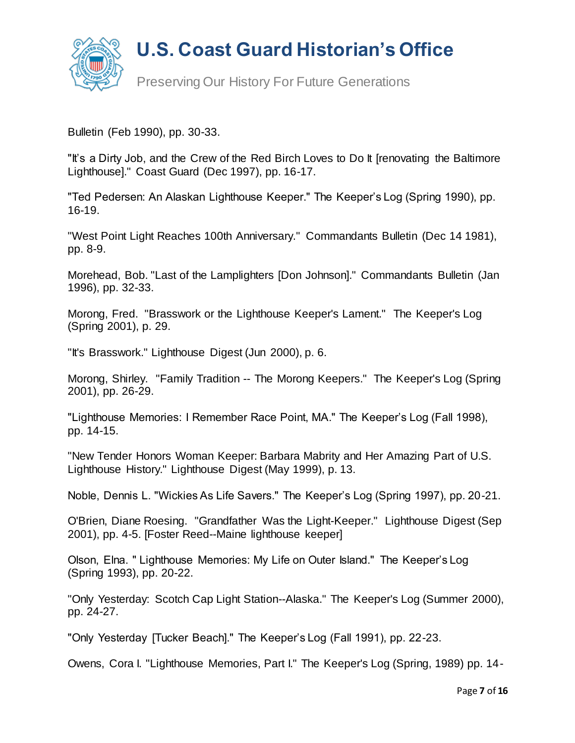

Preserving Our History For Future Generations

Bulletin (Feb 1990), pp. 30-33.

"It's a Dirty Job, and the Crew of the Red Birch Loves to Do It [renovating the Baltimore Lighthouse]." Coast Guard (Dec 1997), pp. 16-17.

"Ted Pedersen: An Alaskan Lighthouse Keeper." The Keeper's Log (Spring 1990), pp. 16-19.

"West Point Light Reaches 100th Anniversary." Commandants Bulletin (Dec 14 1981), pp. 8-9.

Morehead, Bob. "Last of the Lamplighters [Don Johnson]." Commandants Bulletin (Jan 1996), pp. 32-33.

Morong, Fred. "Brasswork or the Lighthouse Keeper's Lament." The Keeper's Log (Spring 2001), p. 29.

"It's Brasswork." Lighthouse Digest (Jun 2000), p. 6.

Morong, Shirley. "Family Tradition -- The Morong Keepers." The Keeper's Log (Spring 2001), pp. 26-29.

"Lighthouse Memories: I Remember Race Point, MA." The Keeper's Log (Fall 1998), pp. 14-15.

"New Tender Honors Woman Keeper: Barbara Mabrity and Her Amazing Part of U.S. Lighthouse History." Lighthouse Digest (May 1999), p. 13.

Noble, Dennis L. "Wickies As Life Savers." The Keeper's Log (Spring 1997), pp. 20-21.

O'Brien, Diane Roesing. "Grandfather Was the Light-Keeper." Lighthouse Digest (Sep 2001), pp. 4-5. [Foster Reed--Maine lighthouse keeper]

Olson, Elna. " Lighthouse Memories: My Life on Outer Island." The Keeper's Log (Spring 1993), pp. 20-22.

"Only Yesterday: Scotch Cap Light Station--Alaska." The Keeper's Log (Summer 2000), pp. 24-27.

"Only Yesterday [Tucker Beach]." The Keeper's Log (Fall 1991), pp. 22-23.

Owens, Cora I. "Lighthouse Memories, Part I." The Keeper's Log (Spring, 1989) pp. 14-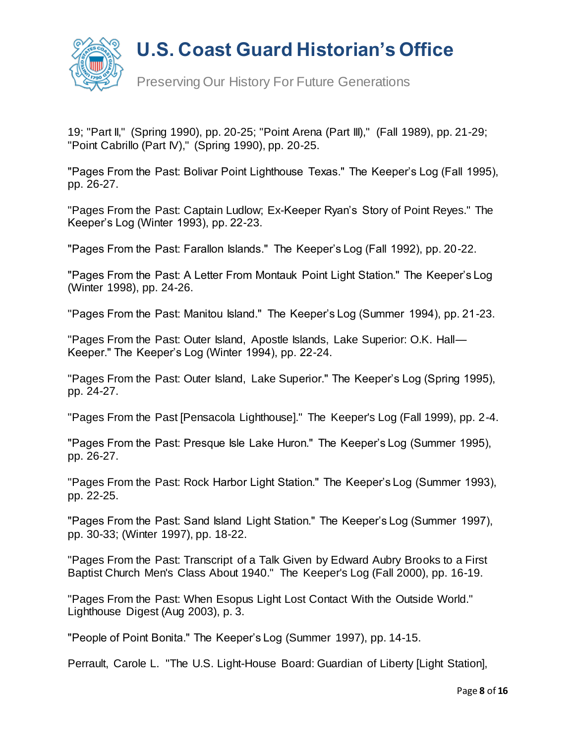

Preserving Our History For Future Generations

19; "Part II," (Spring 1990), pp. 20-25; "Point Arena (Part III)," (Fall 1989), pp. 21-29; "Point Cabrillo (Part IV)," (Spring 1990), pp. 20-25.

"Pages From the Past: Bolivar Point Lighthouse Texas." The Keeper's Log (Fall 1995), pp. 26-27.

"Pages From the Past: Captain Ludlow; Ex-Keeper Ryan's Story of Point Reyes." The Keeper's Log (Winter 1993), pp. 22-23.

"Pages From the Past: Farallon Islands." The Keeper's Log (Fall 1992), pp. 20-22.

"Pages From the Past: A Letter From Montauk Point Light Station." The Keeper's Log (Winter 1998), pp. 24-26.

"Pages From the Past: Manitou Island." The Keeper's Log (Summer 1994), pp. 21-23.

"Pages From the Past: Outer Island, Apostle Islands, Lake Superior: O.K. Hall— Keeper." The Keeper's Log (Winter 1994), pp. 22-24.

"Pages From the Past: Outer Island, Lake Superior." The Keeper's Log (Spring 1995), pp. 24-27.

"Pages From the Past [Pensacola Lighthouse]." The Keeper's Log (Fall 1999), pp. 2-4.

"Pages From the Past: Presque Isle Lake Huron." The Keeper's Log (Summer 1995), pp. 26-27.

"Pages From the Past: Rock Harbor Light Station." The Keeper's Log (Summer 1993), pp. 22-25.

"Pages From the Past: Sand Island Light Station." The Keeper's Log (Summer 1997), pp. 30-33; (Winter 1997), pp. 18-22.

"Pages From the Past: Transcript of a Talk Given by Edward Aubry Brooks to a First Baptist Church Men's Class About 1940." The Keeper's Log (Fall 2000), pp. 16-19.

"Pages From the Past: When Esopus Light Lost Contact With the Outside World." Lighthouse Digest (Aug 2003), p. 3.

"People of Point Bonita." The Keeper's Log (Summer 1997), pp. 14-15.

Perrault, Carole L. "The U.S. Light-House Board: Guardian of Liberty [Light Station],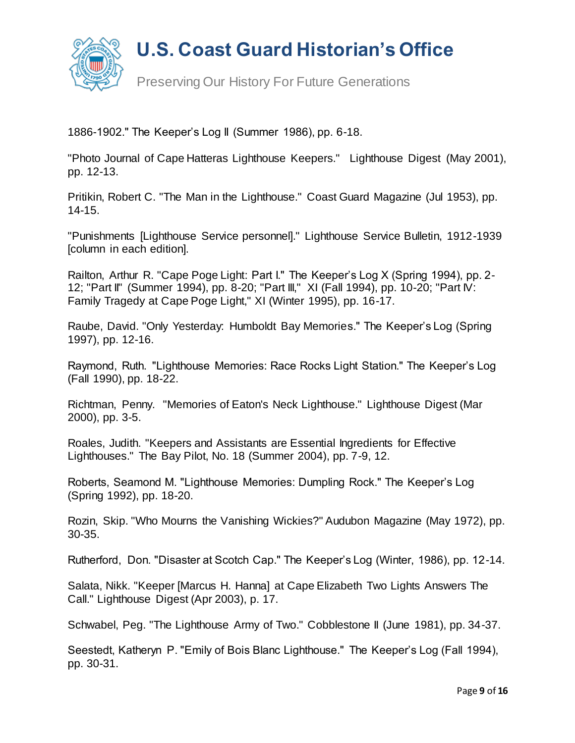

Preserving Our History For Future Generations

1886-1902." The Keeper's Log II (Summer 1986), pp. 6-18.

"Photo Journal of Cape Hatteras Lighthouse Keepers." Lighthouse Digest (May 2001), pp. 12-13.

Pritikin, Robert C. "The Man in the Lighthouse." Coast Guard Magazine (Jul 1953), pp. 14-15.

"Punishments [Lighthouse Service personnel]." Lighthouse Service Bulletin, 1912-1939 [column in each edition].

Railton, Arthur R. "Cape Poge Light: Part I." The Keeper's Log X (Spring 1994), pp. 2- 12; "Part II" (Summer 1994), pp. 8-20; "Part III," XI (Fall 1994), pp. 10-20; "Part IV: Family Tragedy at Cape Poge Light," XI (Winter 1995), pp. 16-17.

Raube, David. "Only Yesterday: Humboldt Bay Memories." The Keeper's Log (Spring 1997), pp. 12-16.

Raymond, Ruth. "Lighthouse Memories: Race Rocks Light Station." The Keeper's Log (Fall 1990), pp. 18-22.

Richtman, Penny. "Memories of Eaton's Neck Lighthouse." Lighthouse Digest (Mar 2000), pp. 3-5.

Roales, Judith. "Keepers and Assistants are Essential Ingredients for Effective Lighthouses." The Bay Pilot, No. 18 (Summer 2004), pp. 7-9, 12.

Roberts, Seamond M. "Lighthouse Memories: Dumpling Rock." The Keeper's Log (Spring 1992), pp. 18-20.

Rozin, Skip. "Who Mourns the Vanishing Wickies?" Audubon Magazine (May 1972), pp. 30-35.

Rutherford, Don. "Disaster at Scotch Cap." The Keeper's Log (Winter, 1986), pp. 12-14.

Salata, Nikk. "Keeper [Marcus H. Hanna] at Cape Elizabeth Two Lights Answers The Call." Lighthouse Digest (Apr 2003), p. 17.

Schwabel, Peg. "The Lighthouse Army of Two." Cobblestone II (June 1981), pp. 34-37.

Seestedt, Katheryn P. "Emily of Bois Blanc Lighthouse." The Keeper's Log (Fall 1994), pp. 30-31.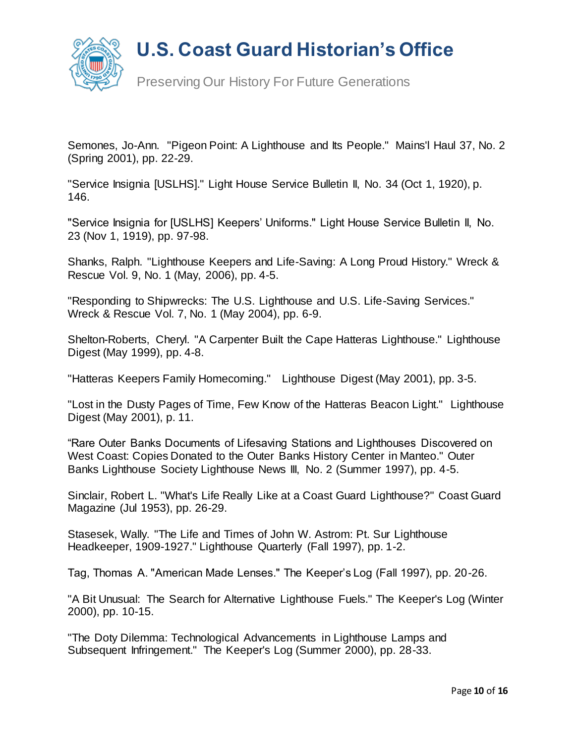



Preserving Our History For Future Generations

Semones, Jo-Ann. "Pigeon Point: A Lighthouse and Its People." Mains'l Haul 37, No. 2 (Spring 2001), pp. 22-29.

"Service Insignia [USLHS]." Light House Service Bulletin II, No. 34 (Oct 1, 1920), p. 146.

"Service Insignia for [USLHS] Keepers' Uniforms." Light House Service Bulletin II, No. 23 (Nov 1, 1919), pp. 97-98.

Shanks, Ralph. "Lighthouse Keepers and Life-Saving: A Long Proud History." Wreck & Rescue Vol. 9, No. 1 (May, 2006), pp. 4-5.

"Responding to Shipwrecks: The U.S. Lighthouse and U.S. Life-Saving Services." Wreck & Rescue Vol. 7, No. 1 (May 2004), pp. 6-9.

Shelton-Roberts, Cheryl. "A Carpenter Built the Cape Hatteras Lighthouse." Lighthouse Digest (May 1999), pp. 4-8.

"Hatteras Keepers Family Homecoming." Lighthouse Digest (May 2001), pp. 3-5.

"Lost in the Dusty Pages of Time, Few Know of the Hatteras Beacon Light." Lighthouse Digest (May 2001), p. 11.

"Rare Outer Banks Documents of Lifesaving Stations and Lighthouses Discovered on West Coast: Copies Donated to the Outer Banks History Center in Manteo." Outer Banks Lighthouse Society Lighthouse News III, No. 2 (Summer 1997), pp. 4-5.

Sinclair, Robert L. "What's Life Really Like at a Coast Guard Lighthouse?" Coast Guard Magazine (Jul 1953), pp. 26-29.

Stasesek, Wally. "The Life and Times of John W. Astrom: Pt. Sur Lighthouse Headkeeper, 1909-1927." Lighthouse Quarterly (Fall 1997), pp. 1-2.

Tag, Thomas A. "American Made Lenses." The Keeper's Log (Fall 1997), pp. 20-26.

"A Bit Unusual: The Search for Alternative Lighthouse Fuels." The Keeper's Log (Winter 2000), pp. 10-15.

"The Doty Dilemma: Technological Advancements in Lighthouse Lamps and Subsequent Infringement." The Keeper's Log (Summer 2000), pp. 28-33.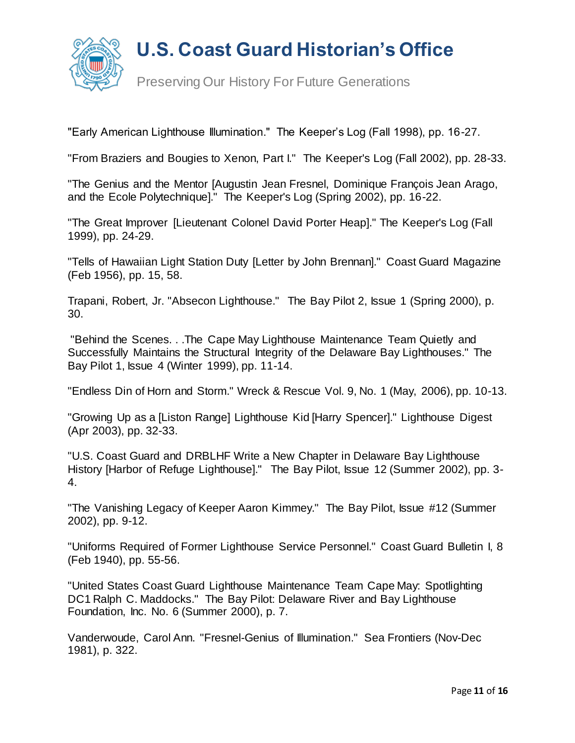

Preserving Our History For Future Generations

"Early American Lighthouse Illumination." The Keeper's Log (Fall 1998), pp. 16-27.

"From Braziers and Bougies to Xenon, Part I." The Keeper's Log (Fall 2002), pp. 28-33.

"The Genius and the Mentor [Augustin Jean Fresnel, Dominique François Jean Arago, and the Ecole Polytechnique]." The Keeper's Log (Spring 2002), pp. 16-22.

"The Great Improver [Lieutenant Colonel David Porter Heap]." The Keeper's Log (Fall 1999), pp. 24-29.

"Tells of Hawaiian Light Station Duty [Letter by John Brennan]." Coast Guard Magazine (Feb 1956), pp. 15, 58.

Trapani, Robert, Jr. "Absecon Lighthouse." The Bay Pilot 2, Issue 1 (Spring 2000), p. 30.

"Behind the Scenes. . .The Cape May Lighthouse Maintenance Team Quietly and Successfully Maintains the Structural Integrity of the Delaware Bay Lighthouses." The Bay Pilot 1, Issue 4 (Winter 1999), pp. 11-14.

"Endless Din of Horn and Storm." Wreck & Rescue Vol. 9, No. 1 (May, 2006), pp. 10-13.

"Growing Up as a [Liston Range] Lighthouse Kid [Harry Spencer]." Lighthouse Digest (Apr 2003), pp. 32-33.

"U.S. Coast Guard and DRBLHF Write a New Chapter in Delaware Bay Lighthouse History [Harbor of Refuge Lighthouse]." The Bay Pilot, Issue 12 (Summer 2002), pp. 3- 4.

"The Vanishing Legacy of Keeper Aaron Kimmey." The Bay Pilot, Issue #12 (Summer 2002), pp. 9-12.

"Uniforms Required of Former Lighthouse Service Personnel." Coast Guard Bulletin I, 8 (Feb 1940), pp. 55-56.

"United States Coast Guard Lighthouse Maintenance Team Cape May: Spotlighting DC1 Ralph C. Maddocks." The Bay Pilot: Delaware River and Bay Lighthouse Foundation, Inc. No. 6 (Summer 2000), p. 7.

Vanderwoude, Carol Ann. "Fresnel-Genius of Illumination." Sea Frontiers (Nov-Dec 1981), p. 322.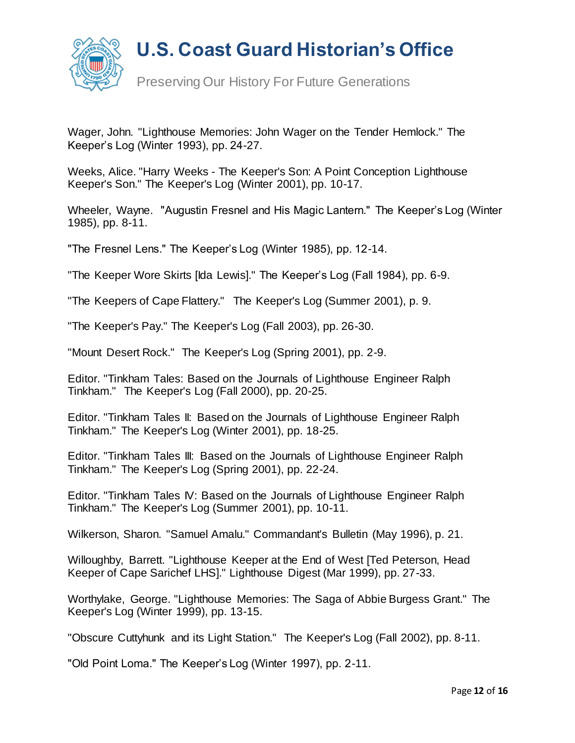

Preserving Our History For Future Generations

Wager, John. "Lighthouse Memories: John Wager on the Tender Hemlock." The Keeper's Log (Winter 1993), pp. 24-27.

Weeks, Alice. "Harry Weeks - The Keeper's Son: A Point Conception Lighthouse Keeper's Son." The Keeper's Log (Winter 2001), pp. 10-17.

Wheeler, Wayne. "Augustin Fresnel and His Magic Lantern." The Keeper's Log (Winter 1985), pp. 8-11.

"The Fresnel Lens." The Keeper's Log (Winter 1985), pp. 12-14.

"The Keeper Wore Skirts [Ida Lewis]." The Keeper's Log (Fall 1984), pp. 6-9.

"The Keepers of Cape Flattery." The Keeper's Log (Summer 2001), p. 9.

"The Keeper's Pay." The Keeper's Log (Fall 2003), pp. 26-30.

"Mount Desert Rock." The Keeper's Log (Spring 2001), pp. 2-9.

Editor. "Tinkham Tales: Based on the Journals of Lighthouse Engineer Ralph Tinkham." The Keeper's Log (Fall 2000), pp. 20-25.

Editor. "Tinkham Tales II: Based on the Journals of Lighthouse Engineer Ralph Tinkham." The Keeper's Log (Winter 2001), pp. 18-25.

Editor. "Tinkham Tales III: Based on the Journals of Lighthouse Engineer Ralph Tinkham." The Keeper's Log (Spring 2001), pp. 22-24.

Editor. "Tinkham Tales IV: Based on the Journals of Lighthouse Engineer Ralph Tinkham." The Keeper's Log (Summer 2001), pp. 10-11.

Wilkerson, Sharon. "Samuel Amalu." Commandant's Bulletin (May 1996), p. 21.

Willoughby, Barrett. "Lighthouse Keeper at the End of West [Ted Peterson, Head Keeper of Cape Sarichef LHS]." Lighthouse Digest (Mar 1999), pp. 27-33.

Worthylake, George. "Lighthouse Memories: The Saga of Abbie Burgess Grant." The Keeper's Log (Winter 1999), pp. 13-15.

"Obscure Cuttyhunk and its Light Station." The Keeper's Log (Fall 2002), pp. 8-11.

"Old Point Loma." The Keeper's Log (Winter 1997), pp. 2-11.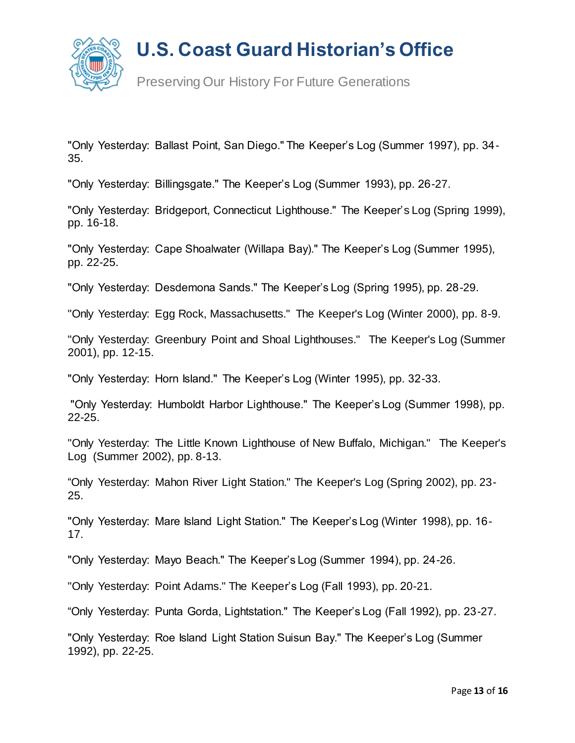

Preserving Our History For Future Generations

"Only Yesterday: Ballast Point, San Diego." The Keeper's Log (Summer 1997), pp. 34- 35.

"Only Yesterday: Billingsgate." The Keeper's Log (Summer 1993), pp. 26-27.

"Only Yesterday: Bridgeport, Connecticut Lighthouse." The Keeper's Log (Spring 1999), pp. 16-18.

"Only Yesterday: Cape Shoalwater (Willapa Bay)." The Keeper's Log (Summer 1995), pp. 22-25.

"Only Yesterday: Desdemona Sands." The Keeper's Log (Spring 1995), pp. 28-29.

"Only Yesterday: Egg Rock, Massachusetts." The Keeper's Log (Winter 2000), pp. 8-9.

"Only Yesterday: Greenbury Point and Shoal Lighthouses." The Keeper's Log (Summer 2001), pp. 12-15.

"Only Yesterday: Horn Island." The Keeper's Log (Winter 1995), pp. 32-33.

"Only Yesterday: Humboldt Harbor Lighthouse." The Keeper's Log (Summer 1998), pp. 22-25.

"Only Yesterday: The Little Known Lighthouse of New Buffalo, Michigan." The Keeper's Log (Summer 2002), pp. 8-13.

"Only Yesterday: Mahon River Light Station." The Keeper's Log (Spring 2002), pp. 23- 25.

"Only Yesterday: Mare Island Light Station." The Keeper's Log (Winter 1998), pp. 16- 17.

"Only Yesterday: Mayo Beach." The Keeper's Log (Summer 1994), pp. 24-26.

"Only Yesterday: Point Adams." The Keeper's Log (Fall 1993), pp. 20-21.

"Only Yesterday: Punta Gorda, Lightstation." The Keeper's Log (Fall 1992), pp. 23-27.

"Only Yesterday: Roe Island Light Station Suisun Bay." The Keeper's Log (Summer 1992), pp. 22-25.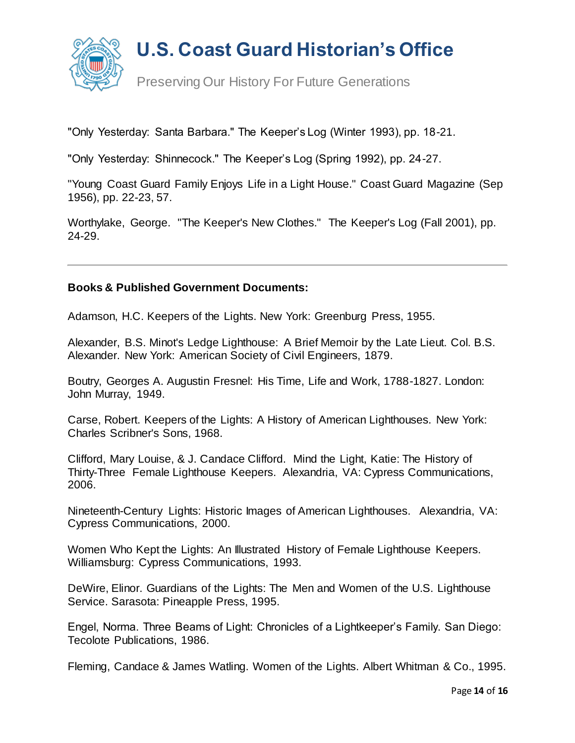

"Only Yesterday: Santa Barbara." The Keeper's Log (Winter 1993), pp. 18-21.

"Only Yesterday: Shinnecock." The Keeper's Log (Spring 1992), pp. 24-27.

"Young Coast Guard Family Enjoys Life in a Light House." Coast Guard Magazine (Sep 1956), pp. 22-23, 57.

Worthylake, George. "The Keeper's New Clothes." The Keeper's Log (Fall 2001), pp. 24-29.

#### **Books & Published Government Documents:**

Adamson, H.C. Keepers of the Lights. New York: Greenburg Press, 1955.

Alexander, B.S. Minot's Ledge Lighthouse: A Brief Memoir by the Late Lieut. Col. B.S. Alexander. New York: American Society of Civil Engineers, 1879.

Boutry, Georges A. Augustin Fresnel: His Time, Life and Work, 1788-1827. London: John Murray, 1949.

Carse, Robert. Keepers of the Lights: A History of American Lighthouses. New York: Charles Scribner's Sons, 1968.

Clifford, Mary Louise, & J. Candace Clifford. Mind the Light, Katie: The History of Thirty-Three Female Lighthouse Keepers. Alexandria, VA: Cypress Communications, 2006.

Nineteenth-Century Lights: Historic Images of American Lighthouses. Alexandria, VA: Cypress Communications, 2000.

Women Who Kept the Lights: An Illustrated History of Female Lighthouse Keepers. Williamsburg: Cypress Communications, 1993.

DeWire, Elinor. Guardians of the Lights: The Men and Women of the U.S. Lighthouse Service. Sarasota: Pineapple Press, 1995.

Engel, Norma. Three Beams of Light: Chronicles of a Lightkeeper's Family. San Diego: Tecolote Publications, 1986.

Fleming, Candace & James Watling. Women of the Lights. Albert Whitman & Co., 1995.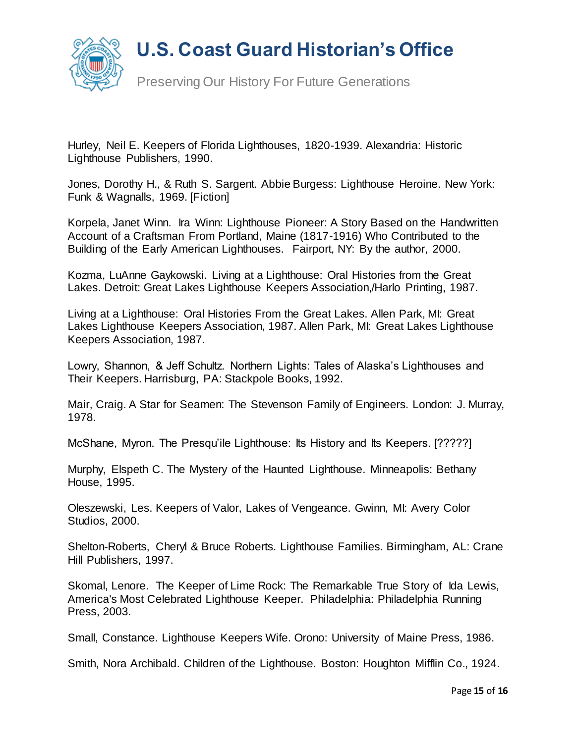



Preserving Our History For Future Generations

Hurley, Neil E. Keepers of Florida Lighthouses, 1820-1939. Alexandria: Historic Lighthouse Publishers, 1990.

Jones, Dorothy H., & Ruth S. Sargent. Abbie Burgess: Lighthouse Heroine. New York: Funk & Wagnalls, 1969. [Fiction]

Korpela, Janet Winn. Ira Winn: Lighthouse Pioneer: A Story Based on the Handwritten Account of a Craftsman From Portland, Maine (1817-1916) Who Contributed to the Building of the Early American Lighthouses. Fairport, NY: By the author, 2000.

Kozma, LuAnne Gaykowski. Living at a Lighthouse: Oral Histories from the Great Lakes. Detroit: Great Lakes Lighthouse Keepers Association,/Harlo Printing, 1987.

Living at a Lighthouse: Oral Histories From the Great Lakes. Allen Park, MI: Great Lakes Lighthouse Keepers Association, 1987. Allen Park, MI: Great Lakes Lighthouse Keepers Association, 1987.

Lowry, Shannon, & Jeff Schultz. Northern Lights: Tales of Alaska's Lighthouses and Their Keepers. Harrisburg, PA: Stackpole Books, 1992.

Mair, Craig. A Star for Seamen: The Stevenson Family of Engineers. London: J. Murray, 1978.

McShane, Myron. The Presqu'ile Lighthouse: Its History and Its Keepers. [?????]

Murphy, Elspeth C. The Mystery of the Haunted Lighthouse. Minneapolis: Bethany House, 1995.

Oleszewski, Les. Keepers of Valor, Lakes of Vengeance. Gwinn, MI: Avery Color Studios, 2000.

Shelton-Roberts, Cheryl & Bruce Roberts. Lighthouse Families. Birmingham, AL: Crane Hill Publishers, 1997.

Skomal, Lenore. The Keeper of Lime Rock: The Remarkable True Story of Ida Lewis, America's Most Celebrated Lighthouse Keeper. Philadelphia: Philadelphia Running Press, 2003.

Small, Constance. Lighthouse Keepers Wife. Orono: University of Maine Press, 1986.

Smith, Nora Archibald. Children of the Lighthouse. Boston: Houghton Mifflin Co., 1924.